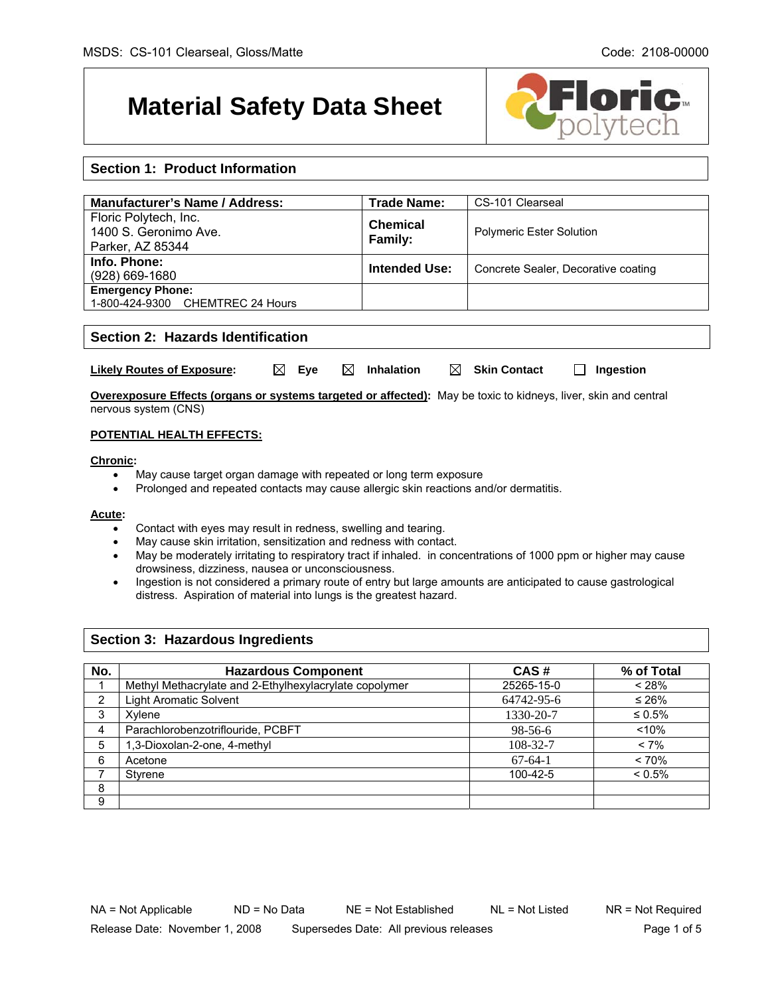# **Material Safety Data Sheet**



# **Section 1: Product Information**

| Manufacturer's Name / Address:                                     | <b>Trade Name:</b>         | CS-101 Clearseal                    |
|--------------------------------------------------------------------|----------------------------|-------------------------------------|
| Floric Polytech, Inc.<br>1400 S. Geronimo Ave.<br>Parker, AZ 85344 | <b>Chemical</b><br>Family: | <b>Polymeric Ester Solution</b>     |
| Info. Phone:<br>$(928)$ 669-1680                                   | <b>Intended Use:</b>       | Concrete Sealer, Decorative coating |
| <b>Emergency Phone:</b><br>1-800-424-9300 CHEMTREC 24 Hours        |                            |                                     |

## **Section 2: Hazards Identification**

| <b>Likely Routes of Exposure:</b> | $\boxtimes$ Eve | $\boxtimes$ Inhalation | $\boxtimes$ Skin Contact | <b>T</b> Ingestion |
|-----------------------------------|-----------------|------------------------|--------------------------|--------------------|
|-----------------------------------|-----------------|------------------------|--------------------------|--------------------|

**Overexposure Effects (organs or systems targeted or affected):** May be toxic to kidneys, liver, skin and central nervous system (CNS)

### **POTENTIAL HEALTH EFFECTS:**

#### **Chronic:**

- May cause target organ damage with repeated or long term exposure
- Prolonged and repeated contacts may cause allergic skin reactions and/or dermatitis.

#### **Acute:**

- Contact with eyes may result in redness, swelling and tearing.
- May cause skin irritation, sensitization and redness with contact.
- May be moderately irritating to respiratory tract if inhaled. in concentrations of 1000 ppm or higher may cause drowsiness, dizziness, nausea or unconsciousness.
- Ingestion is not considered a primary route of entry but large amounts are anticipated to cause gastrological distress. Aspiration of material into lungs is the greatest hazard.

## **Section 3: Hazardous Ingredients**

| No. | <b>Hazardous Component</b>                             | CAS#       | % of Total   |
|-----|--------------------------------------------------------|------------|--------------|
|     | Methyl Methacrylate and 2-Ethylhexylacrylate copolymer | 25265-15-0 | < 28%        |
| ∩   | <b>Light Aromatic Solvent</b>                          | 64742-95-6 | ≤ 26%        |
| 3   | Xylene                                                 | 1330-20-7  | $\leq 0.5\%$ |
| 4   | Parachlorobenzotriflouride, PCBFT                      | 98-56-6    | < 10%        |
| 5   | 1,3-Dioxolan-2-one, 4-methyl                           | 108-32-7   | $< 7\%$      |
| 6   | Acetone                                                | $67-64-1$  | < 70%        |
|     | Styrene                                                | 100-42-5   | $< 0.5\%$    |
| 8   |                                                        |            |              |
| 9   |                                                        |            |              |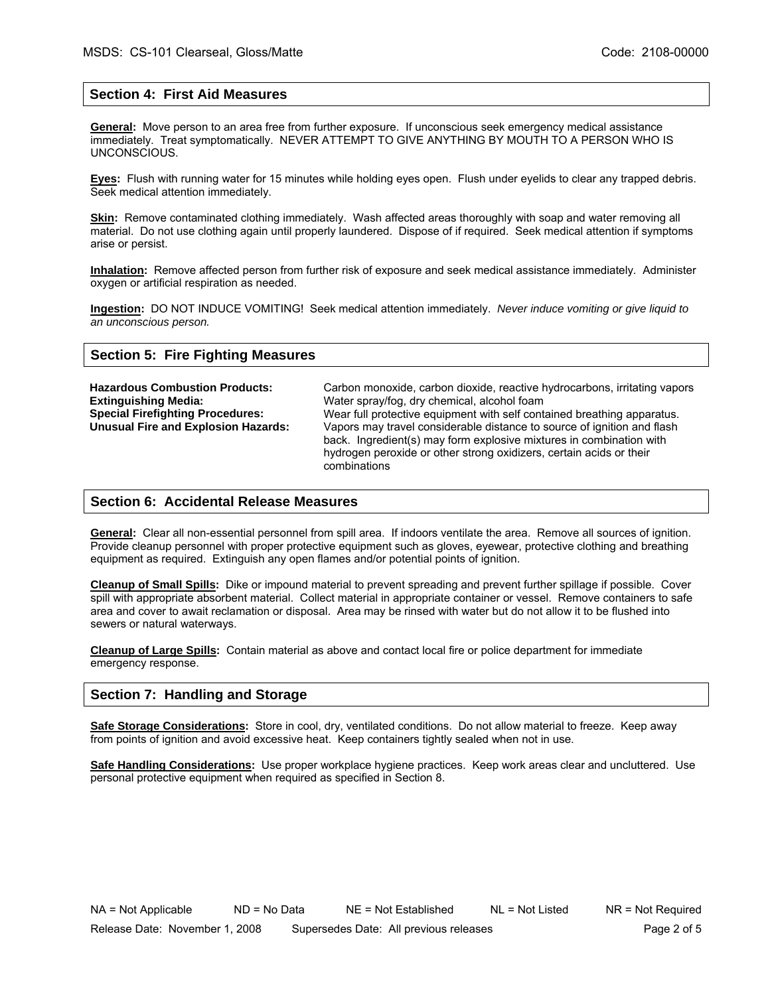## **Section 4: First Aid Measures**

**General:** Move person to an area free from further exposure. If unconscious seek emergency medical assistance immediately. Treat symptomatically. NEVER ATTEMPT TO GIVE ANYTHING BY MOUTH TO A PERSON WHO IS UNCONSCIOUS.

**Eyes:** Flush with running water for 15 minutes while holding eyes open. Flush under eyelids to clear any trapped debris. Seek medical attention immediately.

**Skin:** Remove contaminated clothing immediately. Wash affected areas thoroughly with soap and water removing all material. Do not use clothing again until properly laundered. Dispose of if required. Seek medical attention if symptoms arise or persist.

**Inhalation:** Remove affected person from further risk of exposure and seek medical assistance immediately. Administer oxygen or artificial respiration as needed.

**Ingestion:** DO NOT INDUCE VOMITING! Seek medical attention immediately. *Never induce vomiting or give liquid to an unconscious person.* 

### **Section 5: Fire Fighting Measures**

Hazardous Combustion Products: Carbon monoxide, carbon dioxide, reactive hydrocarbons, irritating vapors **Extinguishing Media:** Water spray/fog, dry chemical, alcohol foam Wear full protective equipment with self contained breathing apparatus. **Unusual Fire and Explosion Hazards:** Vapors may travel considerable distance to source of ignition and flash back. Ingredient(s) may form explosive mixtures in combination with hydrogen peroxide or other strong oxidizers, certain acids or their combinations

#### **Section 6: Accidental Release Measures**

**General:** Clear all non-essential personnel from spill area. If indoors ventilate the area. Remove all sources of ignition. Provide cleanup personnel with proper protective equipment such as gloves, eyewear, protective clothing and breathing equipment as required. Extinguish any open flames and/or potential points of ignition.

**Cleanup of Small Spills:** Dike or impound material to prevent spreading and prevent further spillage if possible. Cover spill with appropriate absorbent material. Collect material in appropriate container or vessel. Remove containers to safe area and cover to await reclamation or disposal. Area may be rinsed with water but do not allow it to be flushed into sewers or natural waterways.

**Cleanup of Large Spills:** Contain material as above and contact local fire or police department for immediate emergency response.

## **Section 7: Handling and Storage**

**Safe Storage Considerations:** Store in cool, dry, ventilated conditions. Do not allow material to freeze. Keep away from points of ignition and avoid excessive heat. Keep containers tightly sealed when not in use.

**Safe Handling Considerations:** Use proper workplace hygiene practices. Keep work areas clear and uncluttered. Use personal protective equipment when required as specified in Section 8.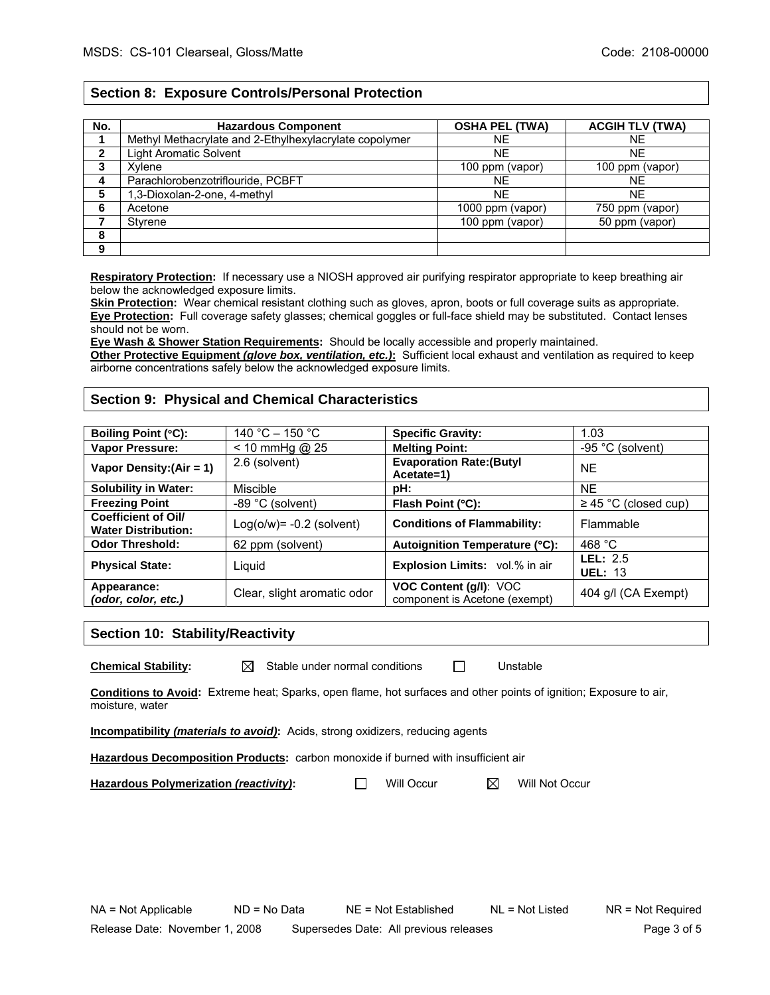## **Section 8: Exposure Controls/Personal Protection**

| No. | <b>Hazardous Component</b>                             | <b>OSHA PEL (TWA)</b> | <b>ACGIH TLV (TWA)</b> |
|-----|--------------------------------------------------------|-----------------------|------------------------|
|     | Methyl Methacrylate and 2-Ethylhexylacrylate copolymer | NE.                   | NE                     |
|     | <b>Light Aromatic Solvent</b>                          | <b>NE</b>             | <b>NE</b>              |
|     | Xvlene                                                 | 100 ppm (vapor)       | 100 ppm (vapor)        |
|     | Parachlorobenzotriflouride, PCBFT                      | NE.                   | <b>NE</b>              |
|     | 1,3-Dioxolan-2-one, 4-methyl                           | <b>NE</b>             | <b>NE</b>              |
| 6   | Acetone                                                | 1000 ppm (vapor)      | 750 ppm (vapor)        |
|     | Styrene                                                | 100 ppm (vapor)       | 50 ppm (vapor)         |
| 8   |                                                        |                       |                        |
| 9   |                                                        |                       |                        |

**Respiratory Protection:** If necessary use a NIOSH approved air purifying respirator appropriate to keep breathing air below the acknowledged exposure limits.

**Skin Protection:** Wear chemical resistant clothing such as gloves, apron, boots or full coverage suits as appropriate. **Eye Protection:** Full coverage safety glasses; chemical goggles or full-face shield may be substituted. Contact lenses should not be worn.

**Eye Wash & Shower Station Requirements:** Should be locally accessible and properly maintained.

**Other Protective Equipment** *(glove box, ventilation, etc.)***:** Sufficient local exhaust and ventilation as required to keep airborne concentrations safely below the acknowledged exposure limits.

### **Section 9: Physical and Chemical Characteristics**

| Boiling Point (°C):                                      | 140 °C $-$ 150 °C           | <b>Specific Gravity:</b>                                       | 1.03                         |
|----------------------------------------------------------|-----------------------------|----------------------------------------------------------------|------------------------------|
| <b>Vapor Pressure:</b>                                   | $< 10$ mmHg @ 25            | <b>Melting Point:</b>                                          | $-95$ °C (solvent)           |
| Vapor Density: $(Air = 1)$                               | 2.6 (solvent)               | <b>Evaporation Rate: (Butyl</b><br>Acetate=1)                  | <b>NE</b>                    |
| <b>Solubility in Water:</b>                              | Miscible                    | pH:                                                            | <b>NE</b>                    |
| <b>Freezing Point</b>                                    | -89 °C (solvent)            | Flash Point (°C):                                              | $\geq$ 45 °C (closed cup)    |
| <b>Coefficient of Oil/</b><br><b>Water Distribution:</b> | $Log(o/w) = -0.2$ (solvent) | <b>Conditions of Flammability:</b>                             | Flammable                    |
| <b>Odor Threshold:</b>                                   | 62 ppm (solvent)            | Autoignition Temperature (°C):                                 | 468 $°C$                     |
| <b>Physical State:</b>                                   | Liguid                      | <b>Explosion Limits:</b> vol.% in air                          | LEL: $2.5$<br><b>UEL: 13</b> |
| Appearance:<br>(odor, color, etc.)                       | Clear, slight aromatic odor | <b>VOC Content (g/l): VOC</b><br>component is Acetone (exempt) | 404 g/l (CA Exempt)          |

### **Section 10: Stability/Reactivity**

**Chemical Stability:**  $\boxtimes$  Stable under normal conditions  $\Box$  Unstable

**Conditions to Avoid:** Extreme heat; Sparks, open flame, hot surfaces and other points of ignition; Exposure to air, moisture, water

**Incompatibility** *(materials to avoid)***:** Acids, strong oxidizers, reducing agents

**Hazardous Decomposition Products:** carbon monoxide if burned with insufficient air

**Hazardous Polymerization (reactivity):** △ Will Occur △ Will Not Occur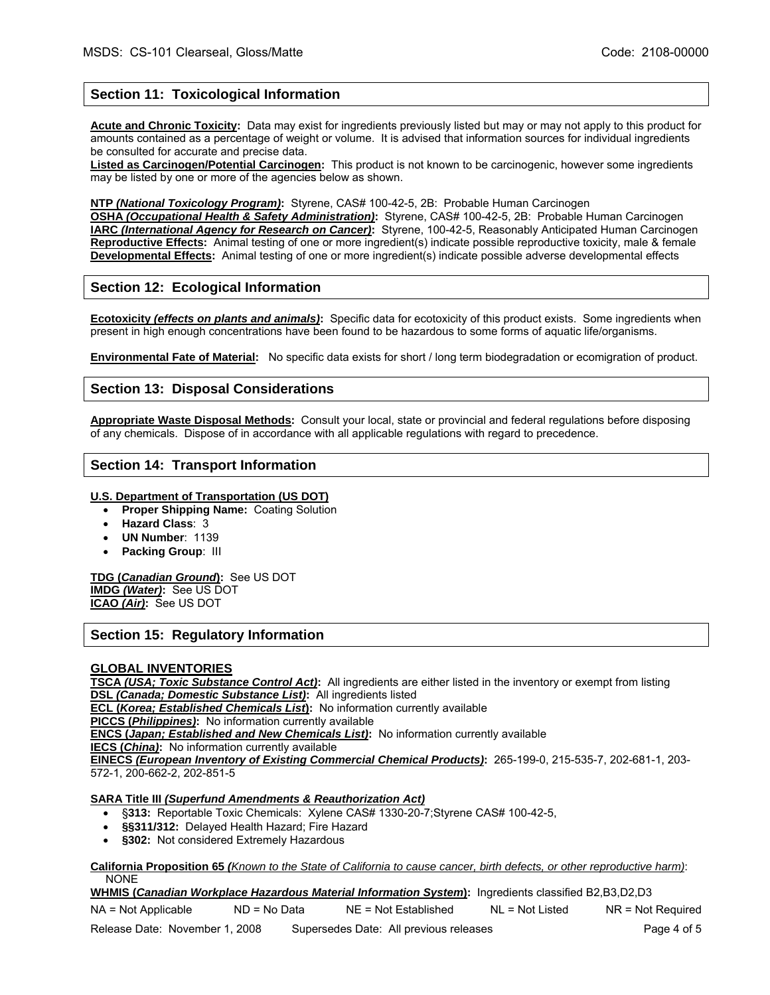# **Section 11: Toxicological Information**

**Acute and Chronic Toxicity:** Data may exist for ingredients previously listed but may or may not apply to this product for amounts contained as a percentage of weight or volume. It is advised that information sources for individual ingredients be consulted for accurate and precise data.

**Listed as Carcinogen/Potential Carcinogen:** This product is not known to be carcinogenic, however some ingredients may be listed by one or more of the agencies below as shown.

**NTP** *(National Toxicology Program)***:** Styrene, CAS# 100-42-5, 2B: Probable Human Carcinogen

**OSHA** *(Occupational Health & Safety Administration)***:** Styrene, CAS# 100-42-5, 2B: Probable Human Carcinogen **IARC** *(International Agency for Research on Cancer)***:** Styrene, 100-42-5, Reasonably Anticipated Human Carcinogen **Reproductive Effects:** Animal testing of one or more ingredient(s) indicate possible reproductive toxicity, male & female **Developmental Effects:** Animal testing of one or more ingredient(s) indicate possible adverse developmental effects

### **Section 12: Ecological Information**

**Ecotoxicity** *(effects on plants and animals)***:** Specific data for ecotoxicity of this product exists. Some ingredients when present in high enough concentrations have been found to be hazardous to some forms of aquatic life/organisms.

**Environmental Fate of Material:** No specific data exists for short / long term biodegradation or ecomigration of product.

#### **Section 13: Disposal Considerations**

**Appropriate Waste Disposal Methods:** Consult your local, state or provincial and federal regulations before disposing of any chemicals. Dispose of in accordance with all applicable regulations with regard to precedence.

#### **Section 14: Transport Information**

- **U.S. Department of Transportation (US DOT)**
	- **Proper Shipping Name:** Coating Solution
	- **Hazard Class**: 3
	- **UN Number**: 1139
	- **Packing Group**: III

**TDG (***Canadian Ground***):** See US DOT **IMDG** *(Water)***:** See US DOT **ICAO** *(Air)***:** See US DOT

## **Section 15: Regulatory Information**

#### **GLOBAL INVENTORIES**

**TSCA** *(USA; Toxic Substance Control Act)***:** All ingredients are either listed in the inventory or exempt from listing **DSL** *(Canada; Domestic Substance List)***:** All ingredients listed

**ECL (***Korea; Established Chemicals List***):** No information currently available

**PICCS (***Philippines)***:** No information currently available

**ENCS (***Japan; Established and New Chemicals List)***:** No information currently available

**IECS (***China)***:** No information currently available

**EINECS** *(European Inventory of Existing Commercial Chemical Products)***:** 265-199-0, 215-535-7, 202-681-1, 203- 572-1, 200-662-2, 202-851-5

#### **SARA Title III** *(Superfund Amendments & Reauthorization Act)*

- §**313:** Reportable Toxic Chemicals: Xylene CAS# 1330-20-7;Styrene CAS# 100-42-5,
- **§§311/312:** Delayed Health Hazard; Fire Hazard
- **§302:** Not considered Extremely Hazardous

**California Proposition 65** *(Known to the State of California to cause cancer, birth defects, or other reproductive harm)*: NONE

**WHMIS (***Canadian Workplace Hazardous Material Information System***):** Ingredients classified B2,B3,D2,D3

NA = Not Applicable ND = No Data NE = Not Established NL = Not Listed NR = Not Required

Release Date: November 1, 2008 Supersedes Date: All previous releases examples and the Page 4 of 5